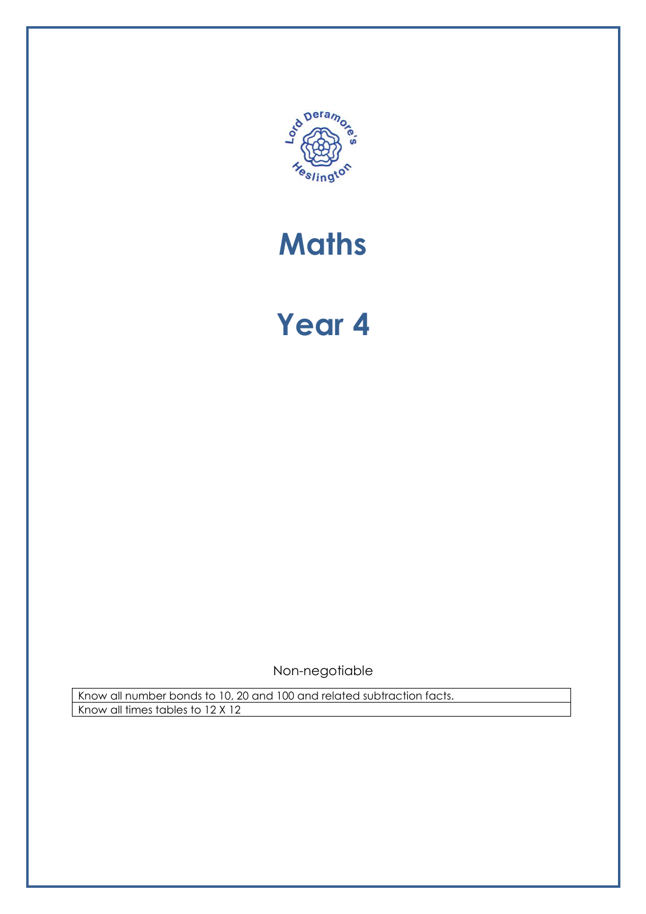

# **Maths**

# Year 4

Non-negotiable

Know all number bonds to 10, 20 and 100 and related subtraction facts. Know all times tables to 12 X 12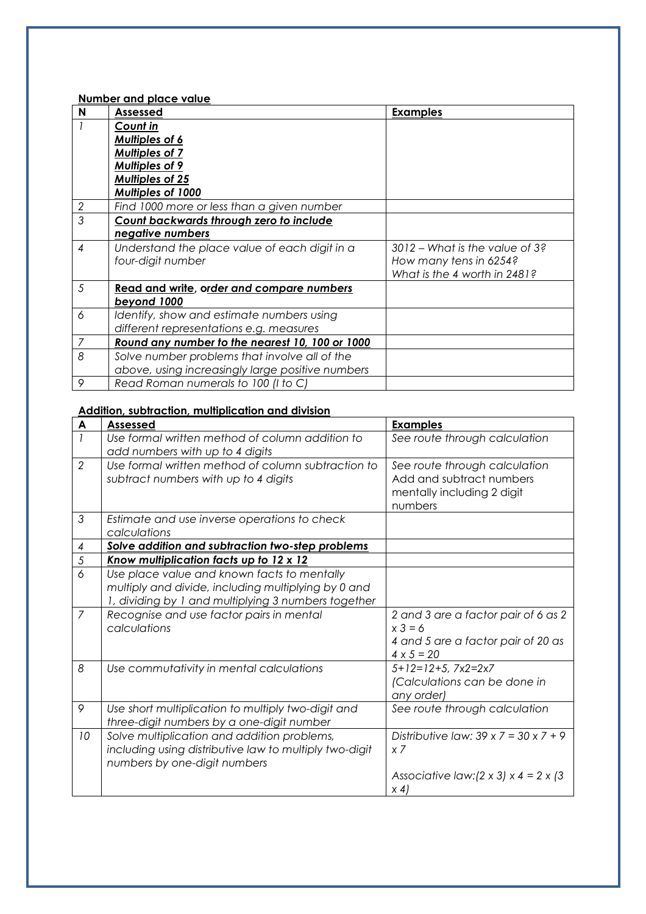Number and place value

| N              | Assessed                                         | <b>Examples</b>                |
|----------------|--------------------------------------------------|--------------------------------|
|                | Count in                                         |                                |
|                | <b>Multiples of 6</b>                            |                                |
|                | <b>Multiples of 7</b>                            |                                |
|                | <b>Multiples of 9</b>                            |                                |
|                | <b>Multiples of 25</b>                           |                                |
|                | Multiples of 1000                                |                                |
| $\sqrt{2}$     | Find 1000 more or less than a given number       |                                |
| $\mathfrak{Z}$ | Count backwards through zero to include          |                                |
|                | negative numbers                                 |                                |
| 4              | Understand the place value of each digit in a    | 3012 - What is the value of 3? |
|                | four-digit number                                | How many tens in 6254?         |
|                |                                                  | What is the 4 worth in 2481?   |
| 5              | Read and write, order and compare numbers        |                                |
|                | beyond 1000                                      |                                |
| 6              | Identify, show and estimate numbers using        |                                |
|                | different representations e.g. measures          |                                |
| 7              | Round any number to the nearest 10, 100 or 1000  |                                |
| 8              | Solve number problems that involve all of the    |                                |
|                | above, using increasingly large positive numbers |                                |
| 9              | Read Roman numerals to 100 (I to C)              |                                |

#### Addition, subtraction, multiplication and division

| A             | <b>Assessed</b>                                                                                                                                           | <b>Examples</b>                                                                                                                               |
|---------------|-----------------------------------------------------------------------------------------------------------------------------------------------------------|-----------------------------------------------------------------------------------------------------------------------------------------------|
|               | Use formal written method of column addition to<br>add numbers with up to 4 digits                                                                        | See route through calculation                                                                                                                 |
| $\mathcal{P}$ | Use formal written method of column subtraction to<br>subtract numbers with up to 4 digits                                                                | See route through calculation<br>Add and subtract numbers<br>mentally including 2 digit<br>numbers                                            |
| 3             | Estimate and use inverse operations to check<br>calculations                                                                                              |                                                                                                                                               |
| 4             | Solve addition and subtraction two-step problems                                                                                                          |                                                                                                                                               |
| 5             | <u>Know multiplication facts up to 12 x 12</u>                                                                                                            |                                                                                                                                               |
| 6             | Use place value and known facts to mentally<br>multiply and divide, including multiplying by 0 and<br>1, dividing by 1 and multiplying 3 numbers together |                                                                                                                                               |
| 7             | Recognise and use factor pairs in mental<br>calculations                                                                                                  | 2 and 3 are a factor pair of 6 as 2<br>$x 3 = 6$<br>4 and 5 are a factor pair of 20 as<br>$4 \times 5 = 20$                                   |
| 8             | Use commutativity in mental calculations                                                                                                                  | $5+12=12+5$ , $7x2=2x7$<br>(Calculations can be done in<br>any order)                                                                         |
| 9             | Use short multiplication to multiply two-digit and<br>three-digit numbers by a one-digit number                                                           | See route through calculation                                                                                                                 |
| 10            | Solve multiplication and addition problems,<br>including using distributive law to multiply two-digit<br>numbers by one-digit numbers                     | Distributive law: $39 \times 7 = 30 \times 7 + 9$<br>$x \overline{7}$<br>Associative law: $(2 \times 3) \times 4 = 2 \times 3$<br>$\times$ 4) |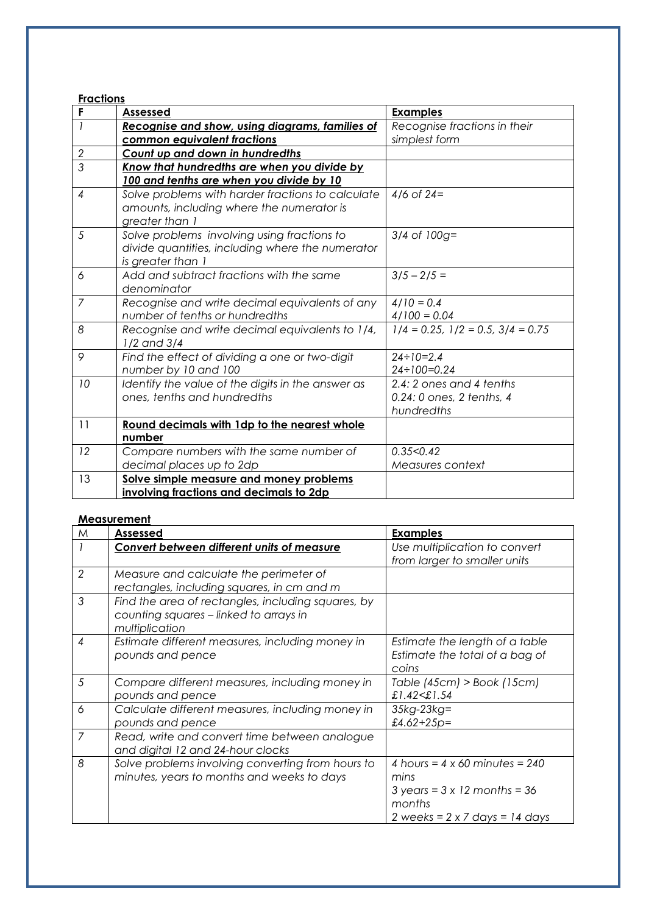| <b>Fractions</b> |                                                   |                                           |
|------------------|---------------------------------------------------|-------------------------------------------|
| F                | <b>Assessed</b>                                   | <b>Examples</b>                           |
| $\overline{1}$   | Recognise and show, using diagrams, families of   | Recognise fractions in their              |
|                  | common equivalent fractions                       | simplest form                             |
| $\sqrt{2}$       | Count up and down in hundredths                   |                                           |
| $\overline{3}$   | Know that hundredths are when you divide by       |                                           |
|                  | 100 and tenths are when you divide by 10          |                                           |
| $\overline{4}$   | Solve problems with harder fractions to calculate | $4/6$ of 24=                              |
|                  | amounts, including where the numerator is         |                                           |
|                  | greater than 1                                    |                                           |
| 5                | Solve problems involving using fractions to       | $3/4$ of $100g =$                         |
|                  | divide quantities, including where the numerator  |                                           |
|                  | is greater than 1                                 |                                           |
| 6                | Add and subtract fractions with the same          | $3/5 - 2/5 =$                             |
|                  | denominator                                       |                                           |
| $\overline{7}$   | Recognise and write decimal equivalents of any    | $4/10 = 0.4$                              |
|                  | number of tenths or hundredths                    | $4/100 = 0.04$                            |
| 8                | Recognise and write decimal equivalents to 1/4,   | $1/4 = 0.25$ , $1/2 = 0.5$ , $3/4 = 0.75$ |
|                  | $1/2$ and $3/4$                                   |                                           |
| 9                | Find the effect of dividing a one or two-digit    | $24 \div 10 = 2.4$                        |
|                  | number by 10 and 100                              | $24 \div 100 = 0.24$                      |
| 10               | Identify the value of the digits in the answer as | 2.4: 2 ones and 4 tenths                  |
|                  | ones, tenths and hundredths                       | 0.24: 0 ones, 2 tenths, 4                 |
|                  |                                                   | hundredths                                |
| 11               | Round decimals with 1dp to the nearest whole      |                                           |
|                  | number                                            |                                           |
| 12               | Compare numbers with the same number of           | 0.35<0.42                                 |
|                  | decimal places up to 2dp                          | Measures context                          |
| 13               | Solve simple measure and money problems           |                                           |
|                  | involving fractions and decimals to 2dp           |                                           |

#### **Measurement**

| M              | <b>Assessed</b>                                                                                                | <b>Examples</b>                                                                                                                                         |
|----------------|----------------------------------------------------------------------------------------------------------------|---------------------------------------------------------------------------------------------------------------------------------------------------------|
|                | <b>Convert between different units of measure</b>                                                              | Use multiplication to convert<br>from larger to smaller units                                                                                           |
| $\overline{2}$ | Measure and calculate the perimeter of<br>rectangles, including squares, in cm and m                           |                                                                                                                                                         |
| 3              | Find the area of rectangles, including squares, by<br>counting squares - linked to arrays in<br>multiplication |                                                                                                                                                         |
| 4              | Estimate different measures, including money in<br>pounds and pence                                            | Estimate the length of a table<br>Estimate the total of a bag of<br>coins                                                                               |
| 5              | Compare different measures, including money in<br>pounds and pence                                             | Table $(45cm)$ > Book $(15cm)$<br>£1.42<£1.54                                                                                                           |
| 6              | Calculate different measures, including money in<br>pounds and pence                                           | $35kg-23kg=$<br>£4.62+25p=                                                                                                                              |
| 7              | Read, write and convert time between analogue<br>and digital 12 and 24-hour clocks                             |                                                                                                                                                         |
| 8              | Solve problems involving converting from hours to<br>minutes, years to months and weeks to days                | 4 hours = $4 \times 60$ minutes = 240<br>mins<br>$3 \text{ years} = 3 \times 12 \text{ months} = 36$<br>months<br>2 weeks = $2 \times 7$ days = 14 days |